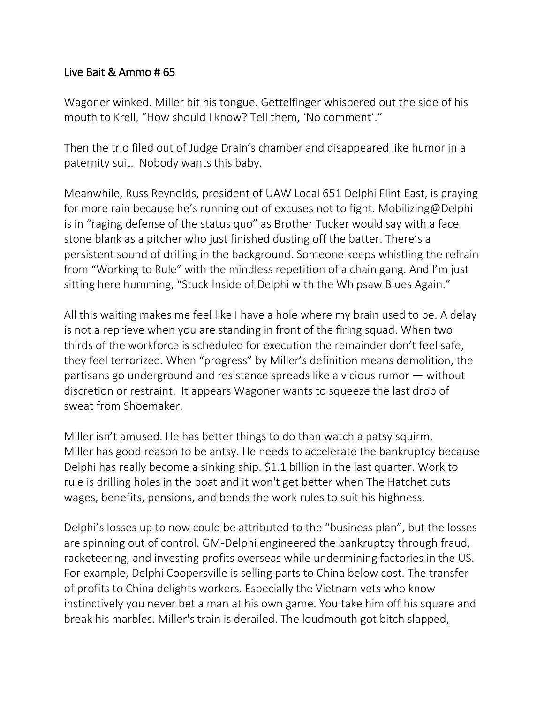## Live Bait & Ammo # 65

Wagoner winked. Miller bit his tongue. Gettelfinger whispered out the side of his mouth to Krell, "How should I know? Tell them, 'No comment'."

Then the trio filed out of Judge Drain's chamber and disappeared like humor in a paternity suit. Nobody wants this baby.

Meanwhile, Russ Reynolds, president of UAW Local 651 Delphi Flint East, is praying for more rain because he's running out of excuses not to fight. Mobilizing@Delphi is in "raging defense of the status quo" as Brother Tucker would say with a face stone blank as a pitcher who just finished dusting off the batter. There's a persistent sound of drilling in the background. Someone keeps whistling the refrain from "Working to Rule" with the mindless repetition of a chain gang. And I'm just sitting here humming, "Stuck Inside of Delphi with the Whipsaw Blues Again."

All this waiting makes me feel like I have a hole where my brain used to be. A delay is not a reprieve when you are standing in front of the firing squad. When two thirds of the workforce is scheduled for execution the remainder don't feel safe, they feel terrorized. When "progress" by Miller's definition means demolition, the partisans go underground and resistance spreads like a vicious rumor — without discretion or restraint. It appears Wagoner wants to squeeze the last drop of sweat from Shoemaker.

Miller isn't amused. He has better things to do than watch a patsy squirm. Miller has good reason to be antsy. He needs to accelerate the bankruptcy because Delphi has really become a sinking ship. \$1.1 billion in the last quarter. Work to rule is drilling holes in the boat and it won't get better when The Hatchet cuts wages, benefits, pensions, and bends the work rules to suit his highness.

Delphi's losses up to now could be attributed to the "business plan", but the losses are spinning out of control. GM-Delphi engineered the bankruptcy through fraud, racketeering, and investing profits overseas while undermining factories in the US. For example, Delphi Coopersville is selling parts to China below cost. The transfer of profits to China delights workers. Especially the Vietnam vets who know instinctively you never bet a man at his own game. You take him off his square and break his marbles. Miller's train is derailed. The loudmouth got bitch slapped,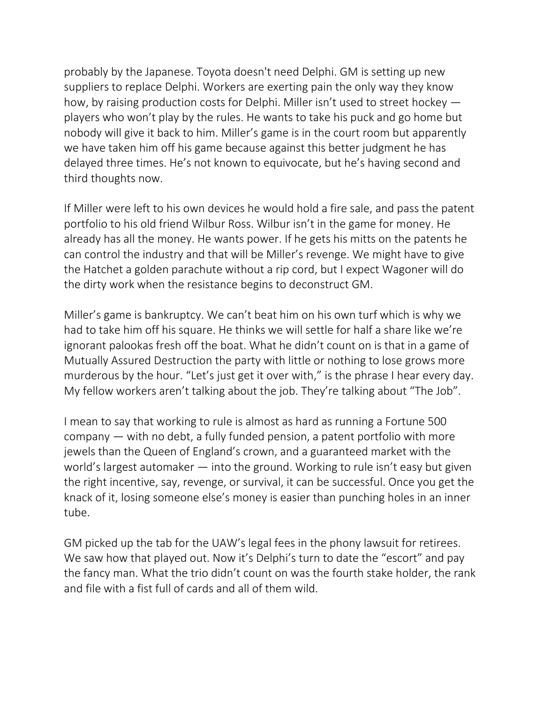probably by the Japanese. Toyota doesn't need Delphi. GM is setting up new suppliers to replace Delphi. Workers are exerting pain the only way they know how, by raising production costs for Delphi. Miller isn't used to street hockey players who won't play by the rules. He wants to take his puck and go home but nobody will give it back to him. Miller's game is in the court room but apparently we have taken him off his game because against this better judgment he has delayed three times. He's not known to equivocate, but he's having second and third thoughts now.

If Miller were left to his own devices he would hold a fire sale, and pass the patent portfolio to his old friend Wilbur Ross. Wilbur isn't in the game for money. He already has all the money. He wants power. If he gets his mitts on the patents he can control the industry and that will be Miller's revenge. We might have to give the Hatchet a golden parachute without a rip cord, but I expect Wagoner will do the dirty work when the resistance begins to deconstruct GM.

Miller's game is bankruptcy. We can't beat him on his own turf which is why we had to take him off his square. He thinks we will settle for half a share like we're ignorant palookas fresh off the boat. What he didn't count on is that in a game of Mutually Assured Destruction the party with little or nothing to lose grows more murderous by the hour. "Let's just get it over with," is the phrase I hear every day. My fellow workers aren't talking about the job. They're talking about "The Job".

I mean to say that working to rule is almost as hard as running a Fortune 500 company — with no debt, a fully funded pension, a patent portfolio with more jewels than the Queen of England's crown, and a guaranteed market with the world's largest automaker — into the ground. Working to rule isn't easy but given the right incentive, say, revenge, or survival, it can be successful. Once you get the knack of it, losing someone else's money is easier than punching holes in an inner tube.

GM picked up the tab for the UAW's legal fees in the phony lawsuit for retirees. We saw how that played out. Now it's Delphi's turn to date the "escort" and pay the fancy man. What the trio didn't count on was the fourth stake holder, the rank and file with a fist full of cards and all of them wild.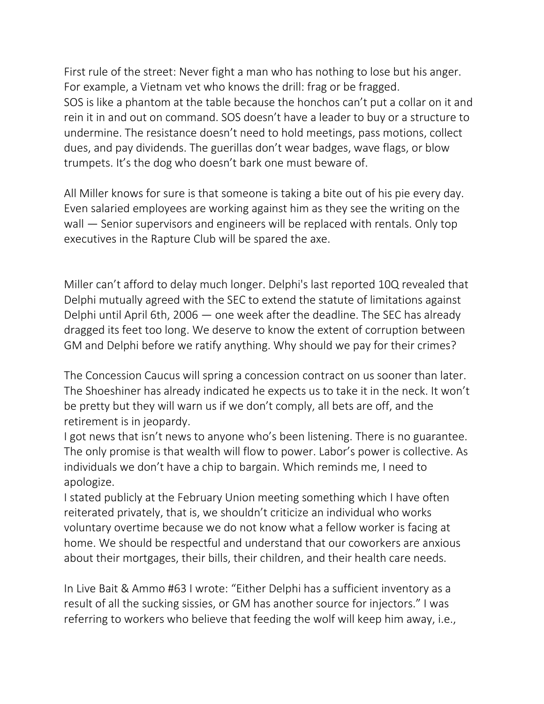First rule of the street: Never fight a man who has nothing to lose but his anger. For example, a Vietnam vet who knows the drill: frag or be fragged. SOS is like a phantom at the table because the honchos can't put a collar on it and rein it in and out on command. SOS doesn't have a leader to buy or a structure to undermine. The resistance doesn't need to hold meetings, pass motions, collect dues, and pay dividends. The guerillas don't wear badges, wave flags, or blow trumpets. It's the dog who doesn't bark one must beware of.

All Miller knows for sure is that someone is taking a bite out of his pie every day. Even salaried employees are working against him as they see the writing on the wall – Senior supervisors and engineers will be replaced with rentals. Only top executives in the Rapture Club will be spared the axe.

Miller can't afford to delay much longer. Delphi's last reported 10Q revealed that Delphi mutually agreed with the SEC to extend the statute of limitations against Delphi until April 6th, 2006 — one week after the deadline. The SEC has already dragged its feet too long. We deserve to know the extent of corruption between GM and Delphi before we ratify anything. Why should we pay for their crimes?

The Concession Caucus will spring a concession contract on us sooner than later. The Shoeshiner has already indicated he expects us to take it in the neck. It won't be pretty but they will warn us if we don't comply, all bets are off, and the retirement is in jeopardy.

I got news that isn't news to anyone who's been listening. There is no guarantee. The only promise is that wealth will flow to power. Labor's power is collective. As individuals we don't have a chip to bargain. Which reminds me, I need to apologize.

I stated publicly at the February Union meeting something which I have often reiterated privately, that is, we shouldn't criticize an individual who works voluntary overtime because we do not know what a fellow worker is facing at home. We should be respectful and understand that our coworkers are anxious about their mortgages, their bills, their children, and their health care needs.

In Live Bait & Ammo #63 I wrote: "Either Delphi has a sufficient inventory as a result of all the sucking sissies, or GM has another source for injectors." I was referring to workers who believe that feeding the wolf will keep him away, i.e.,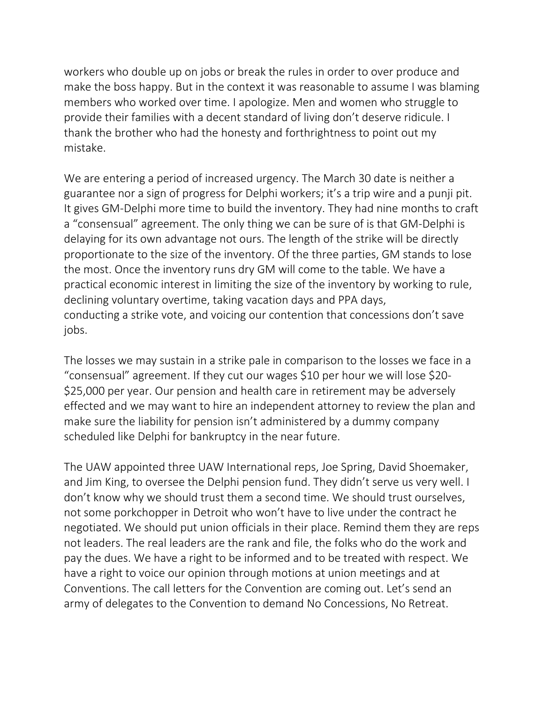workers who double up on jobs or break the rules in order to over produce and make the boss happy. But in the context it was reasonable to assume I was blaming members who worked over time. I apologize. Men and women who struggle to provide their families with a decent standard of living don't deserve ridicule. I thank the brother who had the honesty and forthrightness to point out my mistake.

We are entering a period of increased urgency. The March 30 date is neither a guarantee nor a sign of progress for Delphi workers; it's a trip wire and a punji pit. It gives GM-Delphi more time to build the inventory. They had nine months to craft a "consensual" agreement. The only thing we can be sure of is that GM-Delphi is delaying for its own advantage not ours. The length of the strike will be directly proportionate to the size of the inventory. Of the three parties, GM stands to lose the most. Once the inventory runs dry GM will come to the table. We have a practical economic interest in limiting the size of the inventory by working to rule, declining voluntary overtime, taking vacation days and PPA days, conducting a strike vote, and voicing our contention that concessions don't save jobs.

The losses we may sustain in a strike pale in comparison to the losses we face in a "consensual" agreement. If they cut our wages \$10 per hour we will lose \$20- \$25,000 per year. Our pension and health care in retirement may be adversely effected and we may want to hire an independent attorney to review the plan and make sure the liability for pension isn't administered by a dummy company scheduled like Delphi for bankruptcy in the near future.

The UAW appointed three UAW International reps, Joe Spring, David Shoemaker, and Jim King, to oversee the Delphi pension fund. They didn't serve us very well. I don't know why we should trust them a second time. We should trust ourselves, not some porkchopper in Detroit who won't have to live under the contract he negotiated. We should put union officials in their place. Remind them they are reps not leaders. The real leaders are the rank and file, the folks who do the work and pay the dues. We have a right to be informed and to be treated with respect. We have a right to voice our opinion through motions at union meetings and at Conventions. The call letters for the Convention are coming out. Let's send an army of delegates to the Convention to demand No Concessions, No Retreat.